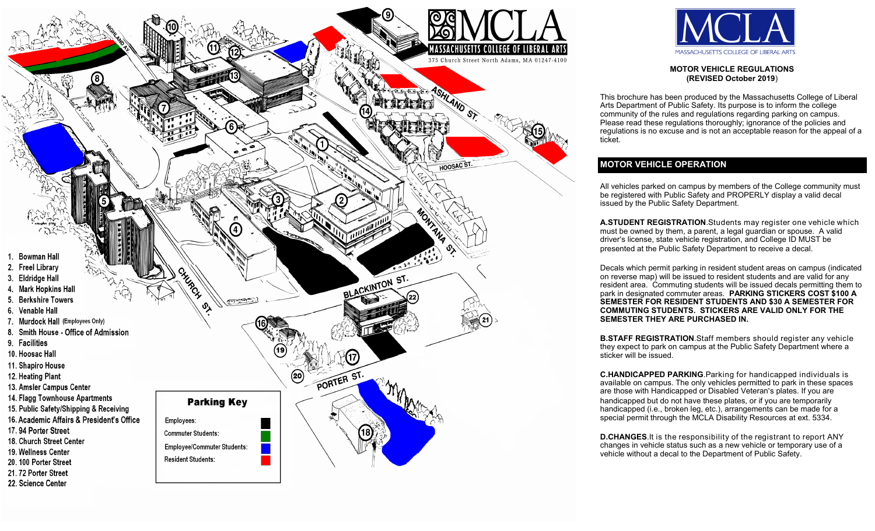



**MOTOR VEHICLE REGULATIONS (REVISED October 2019**)

This brochure has been produced by the Massachusetts College of Liberal Arts Department of Public Safety. Its purpose is to inform the college community of the rules and regulations regarding parking on campus. Please read these regulations thoroughly; ignorance of the policies and regulations is no excuse and is not an acceptable reason for the appeal of a ticket.

## **MOTOR VEHICLE OPERATION**

All vehicles parked on campus by members of the College community must be registered with Public Safety and PROPERLY display a valid decal issued by the Public Safety Department.

**A.STUDENT REGISTRATION**.Students may register one vehicle which must be owned by them, a parent, a legal guardian or spouse. A valid driver's license, state vehicle registration, and College ID MUST be presented at the Public Safety Department to receive a decal.

Decals which permit parking in resident student areas on campus (indicated on reverse map) will be issued to resident students and are valid for any resident area. Commuting students will be issued decals permitting them to park in designated commuter areas. **PARKING STICKERS COST \$100 A SEMESTER FOR RESIDENT STUDENTS AND \$30 A SEMESTER FOR COMMUTING STUDENTS. STICKERS ARE VALID ONLY FOR THE SEMESTER THEY ARE PURCHASED IN.**

**B.STAFF REGISTRATION**.Staff members should register any vehicle they expect to park on campus at the Public Safety Department where a sticker will be issued.

**C.HANDICAPPED PARKING**.Parking for handicapped individuals is available on campus. The only vehicles permitted to park in these spaces are those with Handicapped or Disabled Veteran's plates. If you are handicapped but do not have these plates, or if you are temporarily handicapped (i.e., broken leg, etc.), arrangements can be made for a special permit through the MCLA Disability Resources at ext. 5334.

**D.CHANGES**.It is the responsibility of the registrant to report ANY changes in vehicle status such as a new vehicle or temporary use of a vehicle without a decal to the Department of Public Safety.